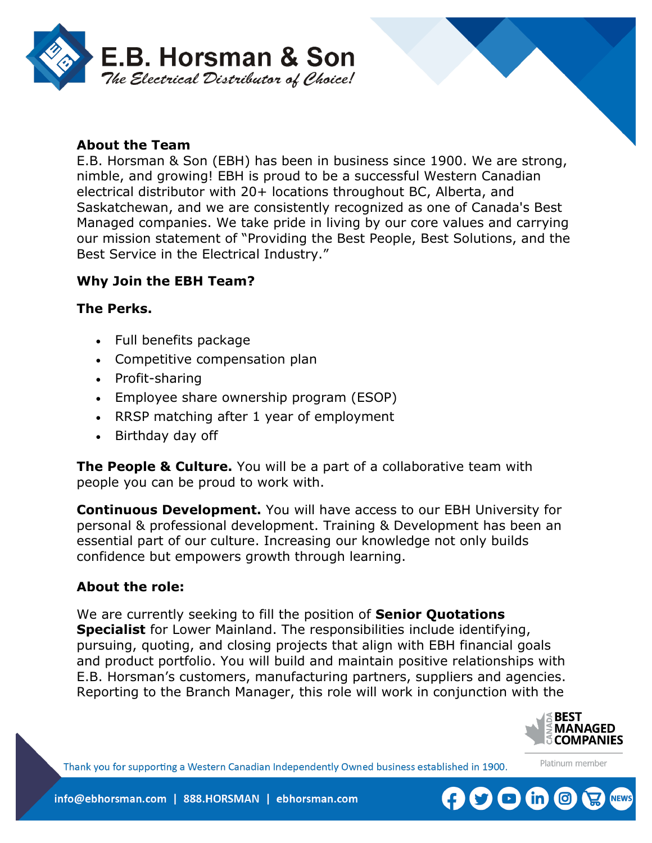

## **About the Team**

E.B. Horsman & Son (EBH) has been in business since 1900. We are strong, nimble, and growing! EBH is proud to be a successful Western Canadian electrical distributor with 20+ locations throughout BC, Alberta, and Saskatchewan, and we are consistently recognized as one of Canada's Best Managed companies. We take pride in living by our core values and carrying our mission statement of "Providing the Best People, Best Solutions, and the Best Service in the Electrical Industry."

# **Why Join the EBH Team?**

#### **The Perks.**

- Full benefits package
- Competitive compensation plan
- Profit-sharing
- Employee share ownership program (ESOP)
- RRSP matching after 1 year of employment
- Birthday day off

**The People & Culture.** You will be a part of a collaborative team with people you can be proud to work with.

**Continuous Development.** You will have access to our EBH University for personal & professional development. Training & Development has been an essential part of our culture. Increasing our knowledge not only builds confidence but empowers growth through learning.

### **About the role:**

We are currently seeking to fill the position of **Senior Quotations Specialist** for Lower Mainland. The responsibilities include identifying, pursuing, quoting, and closing projects that align with EBH financial goals and product portfolio. You will build and maintain positive relationships with E.B. Horsman's customers, manufacturing partners, suppliers and agencies. Reporting to the Branch Manager, this role will work in conjunction with the



Platinum member

Thank you for supporting a Western Canadian Independently Owned business established in 1900.



info@ebhorsman.com | 888.HORSMAN | ebhorsman.com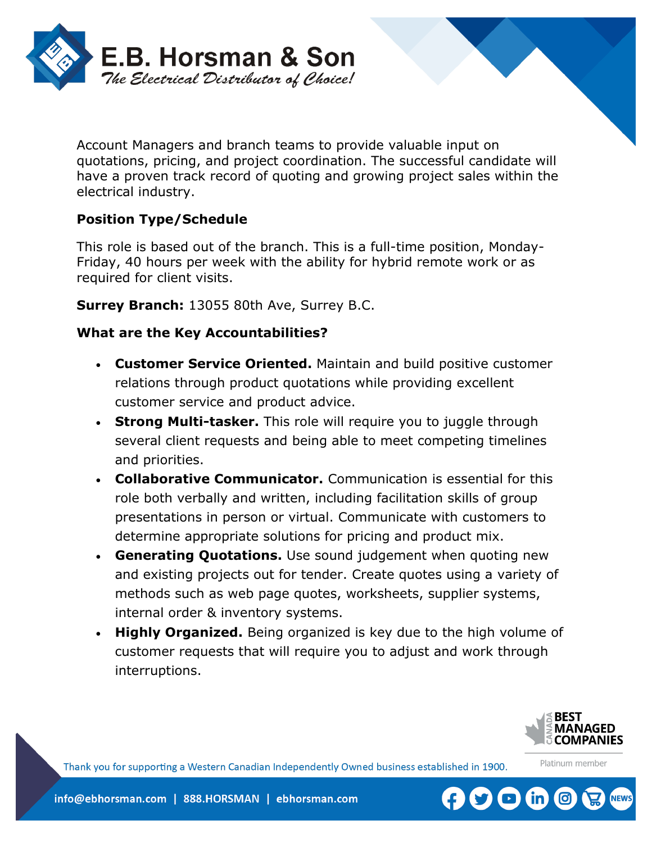

Account Managers and branch teams to provide valuable input on quotations, pricing, and project coordination. The successful candidate will have a proven track record of quoting and growing project sales within the electrical industry.

# **Position Type/Schedule**

This role is based out of the branch. This is a full-time position, Monday-Friday, 40 hours per week with the ability for hybrid remote work or as required for client visits.

**Surrey Branch:** 13055 80th Ave, Surrey B.C.

## **What are the Key Accountabilities?**

- **Customer Service Oriented.** Maintain and build positive customer relations through product quotations while providing excellent customer service and product advice.
- **Strong Multi-tasker.** This role will require you to juggle through several client requests and being able to meet competing timelines and priorities.
- **Collaborative Communicator.** Communication is essential for this role both verbally and written, including facilitation skills of group presentations in person or virtual. Communicate with customers to determine appropriate solutions for pricing and product mix.
- **Generating Quotations.** Use sound judgement when quoting new and existing projects out for tender. Create quotes using a variety of methods such as web page quotes, worksheets, supplier systems, internal order & inventory systems.
- **Highly Organized.** Being organized is key due to the high volume of customer requests that will require you to adjust and work through interruptions.



Platinum member

Thank you for supporting a Western Canadian Independently Owned business established in 1900.

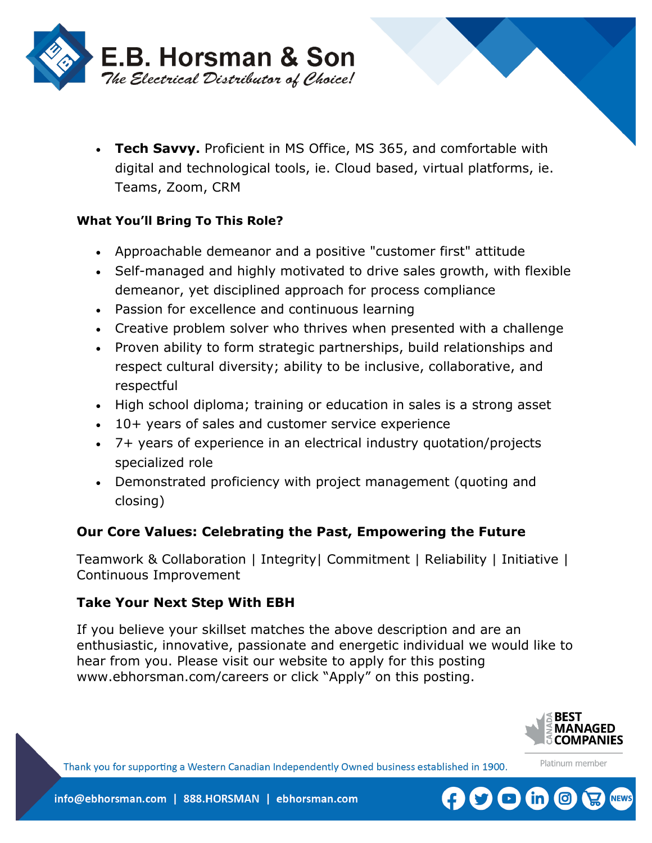

• **Tech Savvy.** Proficient in MS Office, MS 365, and comfortable with digital and technological tools, ie. Cloud based, virtual platforms, ie. Teams, Zoom, CRM

## **What You'll Bring To This Role?**

- Approachable demeanor and a positive "customer first" attitude
- Self-managed and highly motivated to drive sales growth, with flexible demeanor, yet disciplined approach for process compliance
- Passion for excellence and continuous learning
- Creative problem solver who thrives when presented with a challenge
- Proven ability to form strategic partnerships, build relationships and respect cultural diversity; ability to be inclusive, collaborative, and respectful
- High school diploma; training or education in sales is a strong asset
- 10+ years of sales and customer service experience
- 7+ years of experience in an electrical industry quotation/projects specialized role
- Demonstrated proficiency with project management (quoting and closing)

# **Our Core Values: Celebrating the Past, Empowering the Future**

Teamwork & Collaboration | Integrity| Commitment | Reliability | Initiative | Continuous Improvement

# **Take Your Next Step With EBH**

If you believe your skillset matches the above description and are an enthusiastic, innovative, passionate and energetic individual we would like to hear from you. Please visit our website to apply for this posting www.ebhorsman.com/careers or click "Apply" on this posting.



Platinum member

Thank you for supporting a Western Canadian Independently Owned business established in 1900.